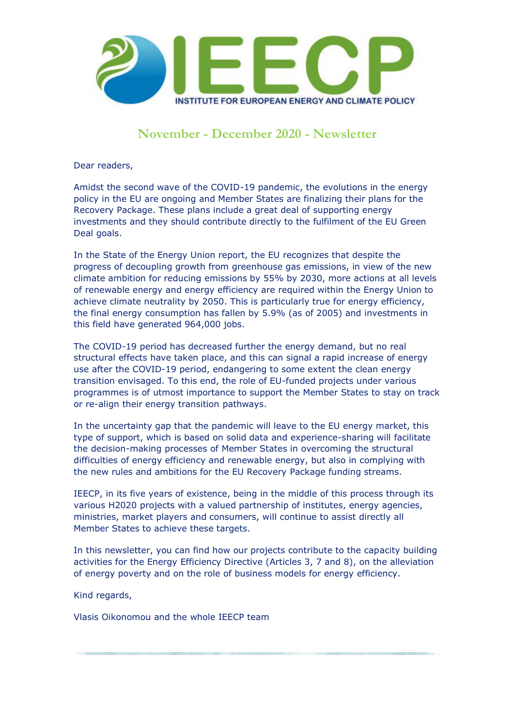

## **November - December 2020 - Newsletter**

Dear readers,

Amidst the second wave of the COVID-19 pandemic, the evolutions in the energy policy in the EU are ongoing and Member States are finalizing their plans for the Recovery Package. These plans include a great deal of supporting energy investments and they should contribute directly to the fulfilment of the EU Green Deal goals.

In the State of the Energy Union report, the EU recognizes that despite the progress of decoupling growth from greenhouse gas emissions, in view of the new climate ambition for reducing emissions by 55% by 2030, more actions at all levels of renewable energy and energy efficiency are required within the Energy Union to achieve climate neutrality by 2050. This is particularly true for energy efficiency, the final energy consumption has fallen by 5.9% (as of 2005) and investments in this field have generated 964,000 jobs.

The COVID-19 period has decreased further the energy demand, but no real structural effects have taken place, and this can signal a rapid increase of energy use after the COVID-19 period, endangering to some extent the clean energy transition envisaged. To this end, the role of EU-funded projects under various programmes is of utmost importance to support the Member States to stay on track or re-align their energy transition pathways.

In the uncertainty gap that the pandemic will leave to the EU energy market, this type of support, which is based on solid data and experience-sharing will facilitate the decision-making processes of Member States in overcoming the structural difficulties of energy efficiency and renewable energy, but also in complying with the new rules and ambitions for the EU Recovery Package funding streams.

IEECP, in its five years of existence, being in the middle of this process through its various H2020 projects with a valued partnership of institutes, energy agencies, ministries, market players and consumers, will continue to assist directly all Member States to achieve these targets.

In this newsletter, you can find how our projects contribute to the capacity building activities for the Energy Efficiency Directive (Articles 3, 7 and 8), on the alleviation of energy poverty and on the role of business models for energy efficiency.

Kind regards,

Vlasis Oikonomou and the whole IEECP team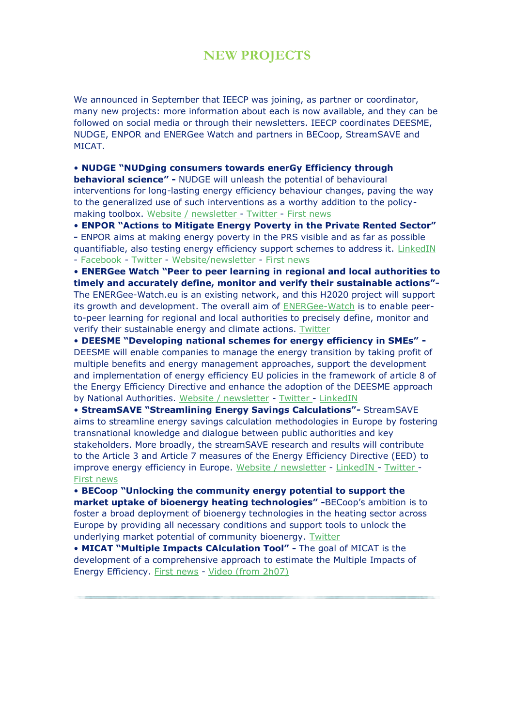### **NEW PROJECTS**

We announced in September that IEECP was joining, as partner or coordinator, many new projects: more information about each is now available, and they can be followed on social media or through their newsletters. IEECP coordinates DEESME, NUDGE, ENPOR and ENERGee Watch and partners in BECoop, StreamSAVE and MICAT.

• **NUDGE "NUDging consumers towards enerGy Efficiency through** 

**behavioral science" -** NUDGE will unleash the potential of behavioural interventions for long-lasting energy efficiency behaviour changes, paving the way to the generalized use of such interventions as a worthy addition to the policymaking toolbox. Website / [newsletter](http://www.ieecp.org/?email_id=24&user_id=214&urlpassed=aHR0cDovL3d3dy5udWRnZXByb2plY3QuZXU&controller=stats&action=analyse&wysija-page=1&wysijap=subscriptions) - [Twitter](http://www.ieecp.org/?email_id=24&user_id=214&urlpassed=aHR0cHM6Ly90d2l0dGVyLmNvbS9OVURHRUgyMDIw&controller=stats&action=analyse&wysija-page=1&wysijap=subscriptions) - First [news](http://www.ieecp.org/?email_id=24&user_id=214&urlpassed=aHR0cHM6Ly93d3cuY29uc3RydWN0aW9uMjEub3JnL2FydGljbGVzL2gvZml2ZS1jb3VudHJpZXMtdG8tYmVjb21lLXRoZS1maWVsZC1vZi1iZWhhdmlvdXJhbC1leHBlcmltZW50cy10by1lbmNvdXJhZ2UtZW5lcmd5LWVmZmljaWVuY3ktaGFiaXRzLmh0bWw&controller=stats&action=analyse&wysija-page=1&wysijap=subscriptions)

• **ENPOR "Actions to Mitigate Energy Poverty in the Private Rented Sector"** 

**-** ENPOR aims at making energy poverty in the PRS visible and as far as possible quantifiable, also testing energy efficiency support schemes to address it. [LinkedIN](http://www.ieecp.org/?email_id=24&user_id=214&urlpassed=aHR0cHM6Ly93d3cubGlua2VkaW4uY29tL2NvbXBhbnkvZW5wb3Jwcm9qZWN0Lw&controller=stats&action=analyse&wysija-page=1&wysijap=subscriptions) - [Facebook](http://www.ieecp.org/?email_id=24&user_id=214&urlpassed=aHR0cHM6Ly93d3cuZmFjZWJvb2suY29tL0VOUE9SLVByb2plY3QtMTA3MDIwOTc3ODYwNDgxLw&controller=stats&action=analyse&wysija-page=1&wysijap=subscriptions) - [Twitter](http://www.ieecp.org/?email_id=24&user_id=214&urlpassed=aHR0cHM6Ly90d2l0dGVyLmNvbS9FbnBvclByb2plY3Q&controller=stats&action=analyse&wysija-page=1&wysijap=subscriptions) - [Website/newsletter](http://www.ieecp.org/?email_id=24&user_id=214&urlpassed=aHR0cDovL3d3dy5lbnBvci5ldQ&controller=stats&action=analyse&wysija-page=1&wysijap=subscriptions) - First [news](http://www.ieecp.org/?email_id=24&user_id=214&urlpassed=aHR0cDovL3d3dy5pZWVjcC5vcmcvaW52ZXN0aWdhdGluZy1ob3ctdG8tdGFja2xlLWVuZXJneS1wb3ZlcnR5LWluLXRoZS1ldS1wcml2YXRlLXJlbnRlZC1zZWN0b3Iv&controller=stats&action=analyse&wysija-page=1&wysijap=subscriptions)

• **ENERGee Watch "Peer to peer learning in regional and local authorities to timely and accurately define, monitor and verify their sustainable actions"-** The ENERGee-Watch.eu is an existing network, and this H2020 project will support its growth and development. The overall aim of [ENERGee-Watch](http://www.ieecp.org/?email_id=24&user_id=214&urlpassed=aHR0cDovL3d3dy5lbmVyZ2VlLXdhdGNoLmV1Lw&controller=stats&action=analyse&wysija-page=1&wysijap=subscriptions) is to enable peerto-peer learning for regional and local authorities to precisely define, monitor and verify their sustainable energy and climate actions. [Twitter](http://www.ieecp.org/?email_id=24&user_id=214&urlpassed=aHR0cHM6Ly90d2l0dGVyLmNvbS9lbmVyZ2Vld2F0Y2g&controller=stats&action=analyse&wysija-page=1&wysijap=subscriptions)

• **DEESME "Developing national schemes for energy efficiency in SMEs" -** DEESME will enable companies to manage the energy transition by taking profit of multiple benefits and energy management approaches, support the development and implementation of energy efficiency EU policies in the framework of article 8 of the Energy Efficiency Directive and enhance the adoption of the DEESME approach by National Authorities. Website / [newsletter](http://www.ieecp.org/?email_id=24&user_id=214&urlpassed=aHR0cDovL3d3dy5kZWVzbWUuZXU&controller=stats&action=analyse&wysija-page=1&wysijap=subscriptions) - [Twitter](http://www.ieecp.org/?email_id=24&user_id=214&urlpassed=aHR0cHM6Ly90d2l0dGVyLmNvbS9EZWVzbWVIMjAyMC9zdGF0dXMvMTMwODQwNzA2MTU4NDI2MTEyMQ&controller=stats&action=analyse&wysija-page=1&wysijap=subscriptions) - [LinkedIN](http://www.ieecp.org/?email_id=24&user_id=214&urlpassed=aHR0cHM6Ly93d3cubGlua2VkaW4uY29tL2NvbXBhbnkvZGVlc21lLWgyMDIw&controller=stats&action=analyse&wysija-page=1&wysijap=subscriptions)

• **StreamSAVE "Streamlining Energy Savings Calculations"-** StreamSAVE aims to streamline energy savings calculation methodologies in Europe by fostering transnational knowledge and dialogue between public authorities and key stakeholders. More broadly, the streamSAVE research and results will contribute to the Article 3 and Article 7 measures of the Energy Efficiency Directive (EED) to improve energy efficiency in Europe. Website / [newsletter](http://www.ieecp.org/?email_id=24&user_id=214&urlpassed=aHR0cDovL3N0cmVhbXNhdmUuZXUv&controller=stats&action=analyse&wysija-page=1&wysijap=subscriptions) - [LinkedIN](http://www.ieecp.org/?email_id=24&user_id=214&urlpassed=aHR0cHM6Ly93d3cubGlua2VkaW4uY29tL2NvbXBhbnkvc3RyZWFtc2F2ZS1oMjAyMC8&controller=stats&action=analyse&wysija-page=1&wysijap=subscriptions) - [Twitter](http://www.ieecp.org/?email_id=24&user_id=214&urlpassed=aHR0cHM6Ly90d2l0dGVyLmNvbS9zdHJlYW1fc2F2ZQ&controller=stats&action=analyse&wysija-page=1&wysijap=subscriptions) [-](http://www.ieecp.org/?email_id=24&user_id=214&urlpassed=aHR0cHM6Ly93d3cuZW5lcmd5dmlsbGUuYmUvZW4vbmV3cy1ldmVudHMvc3RyZWFtc2F2ZS1zdXBwb3J0cy1ldXJvcGVhbi1tZW1iZXItc3RhdGVzLWJlY29tZS1lbmVyZ3ktZWZmaWNpZW50&controller=stats&action=analyse&wysija-page=1&wysijap=subscriptions) First [news](http://www.ieecp.org/?email_id=24&user_id=214&urlpassed=aHR0cHM6Ly93d3cuZW5lcmd5dmlsbGUuYmUvZW4vbmV3cy1ldmVudHMvc3RyZWFtc2F2ZS1zdXBwb3J0cy1ldXJvcGVhbi1tZW1iZXItc3RhdGVzLWJlY29tZS1lbmVyZ3ktZWZmaWNpZW50&controller=stats&action=analyse&wysija-page=1&wysijap=subscriptions)

• **BECoop "Unlocking the community energy potential to support the market uptake of bioenergy heating technologies" -**BECoop's ambition is to foster a broad deployment of bioenergy technologies in the heating sector across Europe by providing all necessary conditions and support tools to unlock the underlying market potential of community bioenergy. [Twitter](http://www.ieecp.org/?email_id=24&user_id=214&urlpassed=aHR0cHM6Ly90d2l0dGVyLmNvbS9CZWNvb3BIMjAyMA&controller=stats&action=analyse&wysija-page=1&wysijap=subscriptions)

• **MICAT "Multiple Impacts CAlculation Tool" -** The goal of MICAT is the development of a comprehensive approach to estimate the Multiple Impacts of Energy Efficiency. First [news](http://www.ieecp.org/?email_id=24&user_id=214&urlpassed=aHR0cDovL3d3dy5pZWVjcC5vcmcvcHJvamVjdC9taWNhdC1tdWx0aXBsZS1pbXBhY3RzLWNhbGN1bGF0aW9uLXRvb2wv&controller=stats&action=analyse&wysija-page=1&wysijap=subscriptions) - Video (from [2h07\)](http://www.ieecp.org/?email_id=24&user_id=214&urlpassed=aHR0cHM6Ly93d3cueW91dHViZS5jb20vd2F0Y2g%2Fdj1aQm5qLUdRSmxoRSZhbXA7ZmVhdHVyZT15b3V0dS5iZQ&controller=stats&action=analyse&wysija-page=1&wysijap=subscriptions)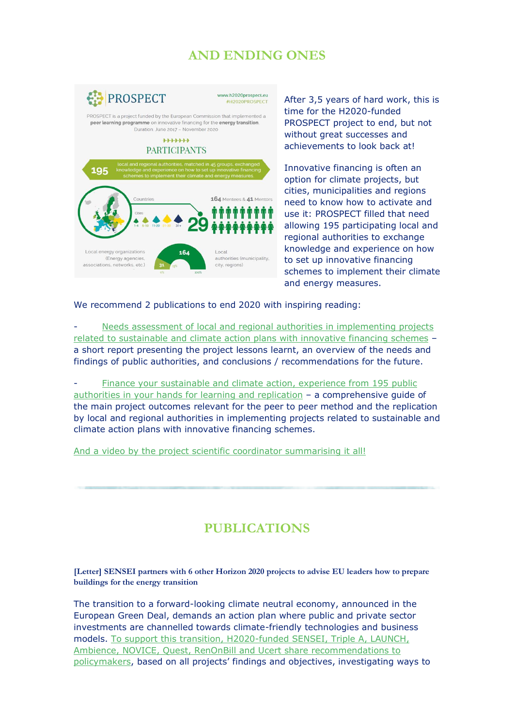# **AND ENDING ONES**



After 3,5 years of hard work, this is time for the H2020-funded PROSPECT project to end, but not without great successes and achievements to look back at!

Innovative financing is often an option for climate projects, but cities, municipalities and regions need to know how to activate and use it: PROSPECT filled that need allowing 195 participating local and regional authorities to exchange knowledge and experience on how to set up innovative financing schemes to implement their climate and energy measures.

We recommend 2 publications to end 2020 with inspiring reading:

- Needs assessment of local and regional authorities in [implementing](http://www.ieecp.org/?email_id=24&user_id=214&urlpassed=aHR0cHM6Ly9oMjAyMHByb3NwZWN0LmV1L2ltYWdlcy9saWJyYXJ5cmVzdWx0cy9EMjVfYnJvY2h1cmUucGRm&controller=stats&action=analyse&wysija-page=1&wysijap=subscriptions) projects related to [sustainable](http://www.ieecp.org/?email_id=24&user_id=214&urlpassed=aHR0cHM6Ly9oMjAyMHByb3NwZWN0LmV1L2ltYWdlcy9saWJyYXJ5cmVzdWx0cy9EMjVfYnJvY2h1cmUucGRm&controller=stats&action=analyse&wysija-page=1&wysijap=subscriptions) and climate action plans with innovative financing schemes – a short report presenting the project lessons learnt, an overview of the needs and findings of public authorities, and conclusions / recommendations for the future.

Finance your [sustainable](http://www.ieecp.org/?email_id=24&user_id=214&urlpassed=aHR0cHM6Ly9oMjAyMHByb3NwZWN0LmV1L2ltYWdlcy9saWJyYXJ5cmVzdWx0cy9ENTZfRmluYWxfcmVwbGljYXRpb25fcmVwb3J0LnBkZg&controller=stats&action=analyse&wysija-page=1&wysijap=subscriptions) and climate action, experience from 195 public [authorities](http://www.ieecp.org/?email_id=24&user_id=214&urlpassed=aHR0cHM6Ly9oMjAyMHByb3NwZWN0LmV1L2ltYWdlcy9saWJyYXJ5cmVzdWx0cy9ENTZfRmluYWxfcmVwbGljYXRpb25fcmVwb3J0LnBkZg&controller=stats&action=analyse&wysija-page=1&wysijap=subscriptions) in your hands for learning and replication – a comprehensive guide of the main project outcomes relevant for the peer to peer method and the replication by local and regional authorities in implementing projects related to sustainable and climate action plans with innovative financing schemes.

And a video by the project scientific coordinator [summarising](http://www.ieecp.org/?email_id=24&user_id=214&urlpassed=aHR0cHM6Ly95b3V0dS5iZS9qMUswOXpyMjZXWQ&controller=stats&action=analyse&wysija-page=1&wysijap=subscriptions) it all!

# **PUBLICATIONS**

**[Letter] SENSEI partners with 6 other Horizon 2020 projects to advise EU leaders how to prepare buildings for the energy transition** 

The transition to a forward-looking climate neutral economy, announced in the European Green Deal, demands an action plan where public and private sector investments are channelled towards climate-friendly technologies and business models. To support this transition, [H2020-funded](http://www.ieecp.org/?email_id=24&user_id=214&urlpassed=aHR0cHM6Ly9zZW5zZWloMjAyMC5ldS8yMDIwLzExLzI2L3BvbGljeS1yZWNvbW1lbmRhdGlvbnMv&controller=stats&action=analyse&wysija-page=1&wysijap=subscriptions) SENSEI, Triple A, LAUNCH, Ambience, NOVICE, Quest, RenOnBill and Ucert share [recommendations](http://www.ieecp.org/?email_id=24&user_id=214&urlpassed=aHR0cHM6Ly9zZW5zZWloMjAyMC5ldS8yMDIwLzExLzI2L3BvbGljeS1yZWNvbW1lbmRhdGlvbnMv&controller=stats&action=analyse&wysija-page=1&wysijap=subscriptions) to [policymakers](http://www.ieecp.org/?email_id=24&user_id=214&urlpassed=aHR0cHM6Ly9zZW5zZWloMjAyMC5ldS8yMDIwLzExLzI2L3BvbGljeS1yZWNvbW1lbmRhdGlvbnMv&controller=stats&action=analyse&wysija-page=1&wysijap=subscriptions), based on all projects' findings and objectives, investigating ways to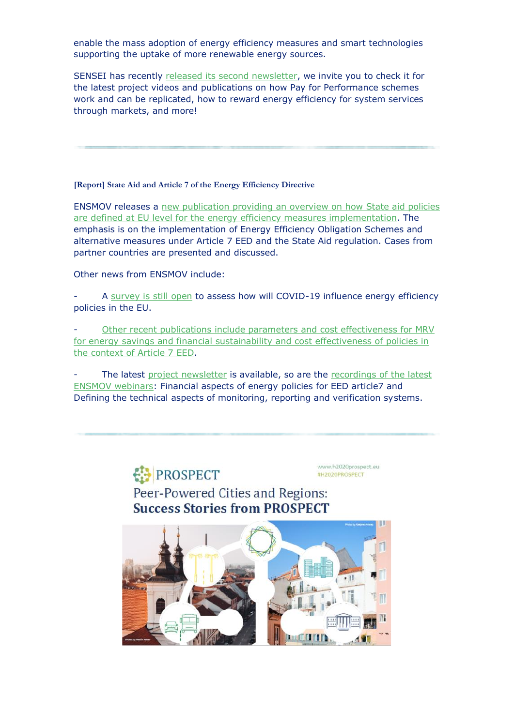enable the mass adoption of energy efficiency measures and smart technologies supporting the uptake of more renewable energy sources.

SENSEI has recently released its second [newsletter,](http://www.ieecp.org/?email_id=24&user_id=214&urlpassed=aHR0cHM6Ly9zZW5zZWloMjAyMC5ldS9uZXdzbGV0dGVycy8&controller=stats&action=analyse&wysija-page=1&wysijap=subscriptions) we invite you to check it for the latest project videos and publications on how Pay for Performance schemes work and can be replicated, how to reward energy efficiency for system services through markets, and more!

**[Report] State Aid and Article 7 of the Energy Efficiency Directive**

ENSMOV releases a new [publication](http://www.ieecp.org/?email_id=24&user_id=214&urlpassed=aHR0cHM6Ly9lbnNtb3YuZXUvc3RhdGUtYWlkLWFuZC1hcnRpY2xlLTctb2YtdGhlLWVuZXJneS1lZmZpY2llbmN5LWRpcmVjdGl2ZS8&controller=stats&action=analyse&wysija-page=1&wysijap=subscriptions) providing an overview on how State aid policies are defined at EU level for the energy efficiency measures [implementation.](http://www.ieecp.org/?email_id=24&user_id=214&urlpassed=aHR0cHM6Ly9lbnNtb3YuZXUvc3RhdGUtYWlkLWFuZC1hcnRpY2xlLTctb2YtdGhlLWVuZXJneS1lZmZpY2llbmN5LWRpcmVjdGl2ZS8&controller=stats&action=analyse&wysija-page=1&wysijap=subscriptions) The emphasis is on the implementation of Energy Efficiency Obligation Schemes and alternative measures under Article 7 EED and the State Aid regulation. Cases from partner countries are presented and discussed.

Other news from ENSMOV include:

A [survey](http://www.ieecp.org/?email_id=24&user_id=214&urlpassed=aHR0cHM6Ly9lYy5ldXJvcGEuZXUvZXVzdXJ2ZXkvcnVubmVyL0VOU01PVmNvdmlkMTk&controller=stats&action=analyse&wysija-page=1&wysijap=subscriptions) is still open to assess how will COVID-19 influence energy efficiency policies in the EU.

Other recent publications include parameters and cost [effectiveness](http://www.ieecp.org/?email_id=24&user_id=214&urlpassed=aHR0cHM6Ly9lbnNtb3YuZXUvY2F0ZWdvcnkvcmVzdWx0cy9yZXBvcnRzLw&controller=stats&action=analyse&wysija-page=1&wysijap=subscriptions) for MRV for energy savings and financial [sustainability](http://www.ieecp.org/?email_id=24&user_id=214&urlpassed=aHR0cHM6Ly9lbnNtb3YuZXUvY2F0ZWdvcnkvcmVzdWx0cy9yZXBvcnRzLw&controller=stats&action=analyse&wysija-page=1&wysijap=subscriptions) and cost effectiveness of policies in the [context](http://www.ieecp.org/?email_id=24&user_id=214&urlpassed=aHR0cHM6Ly9lbnNtb3YuZXUvY2F0ZWdvcnkvcmVzdWx0cy9yZXBvcnRzLw&controller=stats&action=analyse&wysija-page=1&wysijap=subscriptions) of Article 7 EED.

The latest project [newsletter](http://www.ieecp.org/?email_id=24&user_id=214&urlpassed=aHR0cHM6Ly9lbnNtb3YuZXUvbmV3c2xldHRlcnMv&controller=stats&action=analyse&wysija-page=1&wysijap=subscriptions) is available, so are the [recordings](http://www.ieecp.org/?email_id=24&user_id=214&urlpassed=aHR0cHM6Ly9lbnNtb3YuZXUvY2F0ZWdvcnkvcmVzdWx0cy93ZWJpbmFycy8&controller=stats&action=analyse&wysija-page=1&wysijap=subscriptions) of the latest ENSMOV [webinars:](http://www.ieecp.org/?email_id=24&user_id=214&urlpassed=aHR0cHM6Ly9lbnNtb3YuZXUvY2F0ZWdvcnkvcmVzdWx0cy93ZWJpbmFycy8&controller=stats&action=analyse&wysija-page=1&wysijap=subscriptions) Financial aspects of energy policies for EED article7 and Defining the technical aspects of monitoring, reporting and verification systems.

**PROSPECT** 

www.h2020prospect.eu #H2020PROSPECT

Peer-Powered Cities and Regions: **Success Stories from PROSPECT** 

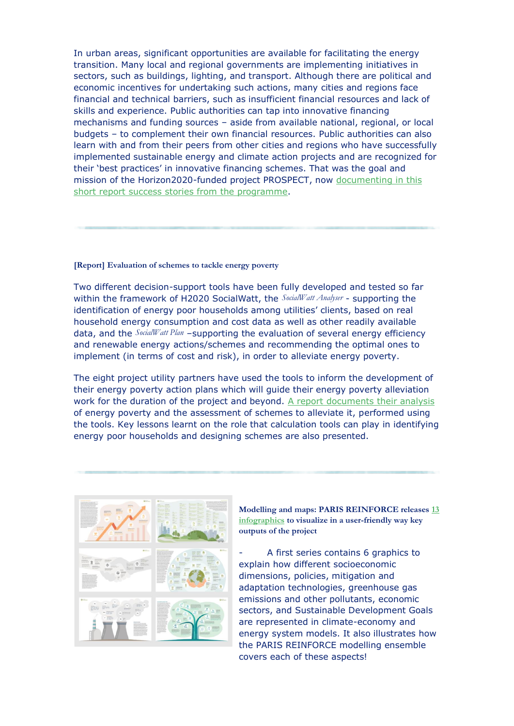In urban areas, significant opportunities are available for facilitating the energy transition. Many local and regional governments are implementing initiatives in sectors, such as buildings, lighting, and transport. Although there are political and economic incentives for undertaking such actions, many cities and regions face financial and technical barriers, such as insufficient financial resources and lack of skills and experience. Public authorities can tap into innovative financing mechanisms and funding sources – aside from available national, regional, or local budgets – to complement their own financial resources. Public authorities can also learn with and from their peers from other cities and regions who have successfully implemented sustainable energy and climate action projects and are recognized for their 'best practices' in innovative financing schemes. That was the goal and mission of the Horizon2020-funded project PROSPECT, now [documenting](http://www.ieecp.org/?email_id=24&user_id=214&urlpassed=aHR0cDovL3d3dy5pZWVjcC5vcmcvcGVlci1wb3dlcmVkLWNpdGllcy1hbmQtcmVnaW9ucy1zdWNjZXNzLXN0b3JpZXMtZnJvbS1wcm9zcGVjdC8&controller=stats&action=analyse&wysija-page=1&wysijap=subscriptions) in this short report success stories from the [programme.](http://www.ieecp.org/?email_id=24&user_id=214&urlpassed=aHR0cDovL3d3dy5pZWVjcC5vcmcvcGVlci1wb3dlcmVkLWNpdGllcy1hbmQtcmVnaW9ucy1zdWNjZXNzLXN0b3JpZXMtZnJvbS1wcm9zcGVjdC8&controller=stats&action=analyse&wysija-page=1&wysijap=subscriptions)

#### **[Report] Evaluation of schemes to tackle energy poverty**

Two different decision-support tools have been fully developed and tested so far within the framework of H2020 SocialWatt, the *SocialWatt Analyser* - supporting the identification of energy poor households among utilities' clients, based on real household energy consumption and cost data as well as other readily available data, and the *SocialWatt Plan* –supporting the evaluation of several energy efficiency and renewable energy actions/schemes and recommending the optimal ones to implement (in terms of cost and risk), in order to alleviate energy poverty.

The eight project utility partners have used the tools to inform the development of their energy poverty action plans which will guide their energy poverty alleviation work for the duration of the project and beyond. A report [documents](http://www.ieecp.org/?email_id=24&user_id=214&urlpassed=aHR0cHM6Ly9zb2NpYWx3YXR0LmV1L3NpdGVzL2RlZmF1bHQvZmlsZXMvbmV3cy9EMi4xJTIwRXZhbHVhdGlvbiUyMG9mJTIwc2NoZW1lcyUyMHRvJTIwdGFja2xlJTIwZW5lcmd5JTIwcG92ZXJ0eS5wZGY&controller=stats&action=analyse&wysija-page=1&wysijap=subscriptions) their analysis of energy poverty and the assessment of schemes to alleviate it, performed using the tools. Key lessons learnt on the role that calculation tools can play in identifying energy poor households and designing schemes are also presented.



**Modelling and maps: PARIS REINFORCE releases**  $\frac{13}{2}$ **[infographics](http://www.ieecp.org/?email_id=24&user_id=214&urlpassed=aHR0cHM6Ly9wYXJpcy1yZWluZm9yY2UuZXUvY29tbXVuaWNhdGlvbi9pbmZvZ3JhcGhpY3M&controller=stats&action=analyse&wysija-page=1&wysijap=subscriptions) to visualize in a user-friendly way key outputs of the project**

A first series contains 6 graphics to explain how different socioeconomic dimensions, policies, mitigation and adaptation technologies, greenhouse gas emissions and other pollutants, economic sectors, and Sustainable Development Goals are represented in climate-economy and energy system models. It also illustrates how the PARIS REINFORCE modelling ensemble covers each of these aspects!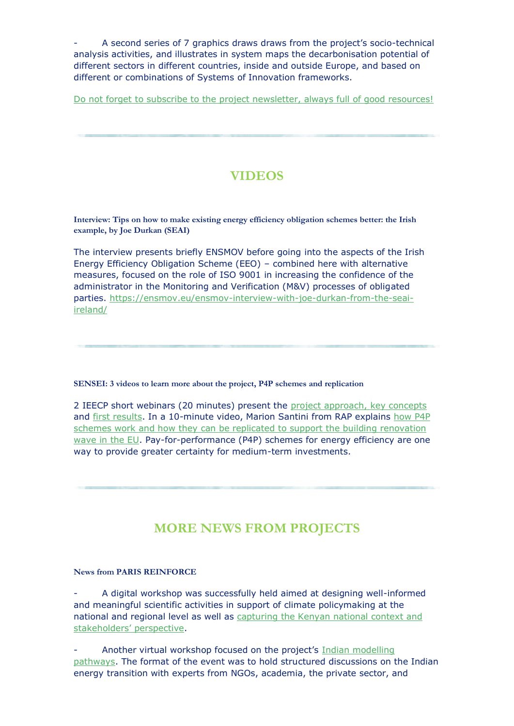- A second series of 7 graphics draws draws from the project's socio-technical analysis activities, and illustrates in system maps the decarbonisation potential of different sectors in different countries, inside and outside Europe, and based on different or combinations of Systems of Innovation frameworks.

Do not forget to subscribe to the project [newsletter,](http://www.ieecp.org/?email_id=24&user_id=214&urlpassed=aHR0cHM6Ly9wYXJpcy1yZWluZm9yY2UuZXUv&controller=stats&action=analyse&wysija-page=1&wysijap=subscriptions) always full of good resources!

# **VIDEOS**

**Interview: Tips on how to make existing energy efficiency obligation schemes better: the Irish example, by Joe Durkan (SEAI)**

The interview presents briefly ENSMOV before going into the aspects of the Irish Energy Efficiency Obligation Scheme (EEO) – combined here with alternative measures, focused on the role of ISO 9001 in increasing the confidence of the administrator in the Monitoring and Verification (M&V) processes of obligated parties. [https://ensmov.eu/ensmov-interview-with-joe-durkan-from-the-seai](http://www.ieecp.org/?email_id=24&user_id=214&urlpassed=aHR0cHM6Ly9lbnNtb3YuZXUvZW5zbW92LWludGVydmlldy13aXRoLWpvZS1kdXJrYW4tZnJvbS10aGUtc2VhaS1pcmVsYW5kLw&controller=stats&action=analyse&wysija-page=1&wysijap=subscriptions)[ireland/](http://www.ieecp.org/?email_id=24&user_id=214&urlpassed=aHR0cHM6Ly9lbnNtb3YuZXUvZW5zbW92LWludGVydmlldy13aXRoLWpvZS1kdXJrYW4tZnJvbS10aGUtc2VhaS1pcmVsYW5kLw&controller=stats&action=analyse&wysija-page=1&wysijap=subscriptions)

### **SENSEI: 3 videos to learn more about the project, P4P schemes and replication**

2 IEECP short webinars (20 minutes) present the project [approach,](http://www.ieecp.org/?email_id=24&user_id=214&urlpassed=aHR0cHM6Ly93d3cueW91dHViZS5jb20vd2F0Y2g%2Fdj1CQ3MwNC0wMVpHWQ&controller=stats&action=analyse&wysija-page=1&wysijap=subscriptions) key concepts and first [results.](http://www.ieecp.org/?email_id=24&user_id=214&urlpassed=aHR0cHM6Ly93d3cueW91dHViZS5jb20vd2F0Y2g%2Fdj14Qk5NYWZsNThfVQ&controller=stats&action=analyse&wysija-page=1&wysijap=subscriptions) In a 10-minute video, Marion Santini from RAP explains [how](http://www.ieecp.org/?email_id=24&user_id=214&urlpassed=aHR0cHM6Ly93d3cueW91dHViZS5jb20vd2F0Y2g%2Fdj1KTkpxcWJ5VUptbw&controller=stats&action=analyse&wysija-page=1&wysijap=subscriptions) P4P schemes work and how they can be replicated to support the building [renovation](http://www.ieecp.org/?email_id=24&user_id=214&urlpassed=aHR0cHM6Ly93d3cueW91dHViZS5jb20vd2F0Y2g%2Fdj1KTkpxcWJ5VUptbw&controller=stats&action=analyse&wysija-page=1&wysijap=subscriptions) [wave](http://www.ieecp.org/?email_id=24&user_id=214&urlpassed=aHR0cHM6Ly93d3cueW91dHViZS5jb20vd2F0Y2g%2Fdj1KTkpxcWJ5VUptbw&controller=stats&action=analyse&wysija-page=1&wysijap=subscriptions) in the EU. Pay-for-performance (P4P) schemes for energy efficiency are one way to provide greater certainty for medium-term investments.

### **MORE NEWS FROM PROJECTS**

### **News from PARIS REINFORCE**

- A digital workshop was successfully held aimed at designing well-informed and meaningful scientific activities in support of climate policymaking at the national and regional level as well as [capturing](http://www.ieecp.org/?email_id=24&user_id=214&urlpassed=aHR0cDovL3BhcmlzLXJlaW5mb3JjZS5ldS9uZXdzLWV2ZW50cy9wcm9qZWN0LW5ld3MtZXZlbnRzL2luZm9ybWVkLXNjaWVuY2Utc3VzdGFpbmFibGUtY2xpbWF0ZS1hY3Rpb24ta2VueWE&controller=stats&action=analyse&wysija-page=1&wysijap=subscriptions) the Kenyan national context and [stakeholders'](http://www.ieecp.org/?email_id=24&user_id=214&urlpassed=aHR0cDovL3BhcmlzLXJlaW5mb3JjZS5ldS9uZXdzLWV2ZW50cy9wcm9qZWN0LW5ld3MtZXZlbnRzL2luZm9ybWVkLXNjaWVuY2Utc3VzdGFpbmFibGUtY2xpbWF0ZS1hY3Rpb24ta2VueWE&controller=stats&action=analyse&wysija-page=1&wysijap=subscriptions) perspective.

Another virtual workshop focused on the project's Indian [modelling](http://www.ieecp.org/?email_id=24&user_id=214&urlpassed=aHR0cHM6Ly9jbGljay5tbHNlbmQuY29tL2xpbmsvYy9ZVDB4TlRZeE1EVTVNVEV6TkRZMU5UUTVPVGN4Sm1NOVpqSnVOeVpsUFRVeE56UXlORGt4Sm1JOU5EWXhNelExTnpRM0ptUTljelJ1T0hjMWJ3PT0uSmVFUFdQQXByNGRGNkw2SDAxQUU2M2hSY1hPRGUxdnJINktGNWFvNUFzaw&controller=stats&action=analyse&wysija-page=1&wysijap=subscriptions) [pathways.](http://www.ieecp.org/?email_id=24&user_id=214&urlpassed=aHR0cHM6Ly9jbGljay5tbHNlbmQuY29tL2xpbmsvYy9ZVDB4TlRZeE1EVTVNVEV6TkRZMU5UUTVPVGN4Sm1NOVpqSnVOeVpsUFRVeE56UXlORGt4Sm1JOU5EWXhNelExTnpRM0ptUTljelJ1T0hjMWJ3PT0uSmVFUFdQQXByNGRGNkw2SDAxQUU2M2hSY1hPRGUxdnJINktGNWFvNUFzaw&controller=stats&action=analyse&wysija-page=1&wysijap=subscriptions) The format of the event was to hold structured discussions on the Indian energy transition with experts from NGOs, academia, the private sector, and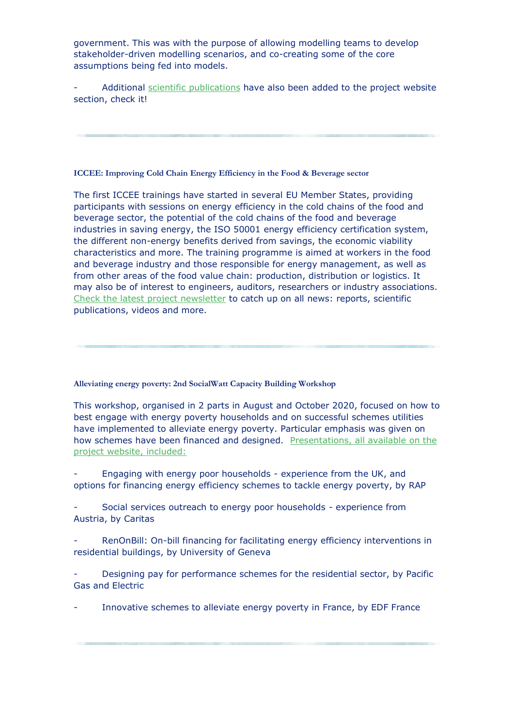government. This was with the purpose of allowing modelling teams to develop stakeholder-driven modelling scenarios, and co-creating some of the core assumptions being fed into models.

Additional scientific [publications](http://www.ieecp.org/?email_id=24&user_id=214&urlpassed=aHR0cHM6Ly9wYXJpcy1yZWluZm9yY2UuZXUvcHVibGljYXRpb25zL3NjaWVudGlmaWMtcHVibGljYXRpb25z&controller=stats&action=analyse&wysija-page=1&wysijap=subscriptions) have also been added to the project website section, check it!

#### **ICCEE: Improving Cold Chain Energy Efficiency in the Food & Beverage sector**

The first ICCEE trainings have started in several EU Member States, providing participants with sessions on energy efficiency in the cold chains of the food and beverage sector, the potential of the cold chains of the food and beverage industries in saving energy, the ISO 50001 energy efficiency certification system, the different non-energy benefits derived from savings, the economic viability characteristics and more. The training programme is aimed at workers in the food and beverage industry and those responsible for energy management, as well as from other areas of the food value chain: production, distribution or logistics. It may also be of interest to engineers, auditors, researchers or industry associations. Check the latest project [newsletter](http://www.ieecp.org/?email_id=24&user_id=214&urlpassed=aHR0cHM6Ly9pY2NlZS5ldS8yMDIwLzExLzE4L2ljY2VlLW5ld3NsZXR0ZXItMi1ub3ZlbWJlci0yMDIwLw&controller=stats&action=analyse&wysija-page=1&wysijap=subscriptions) to catch up on all news: reports, scientific publications, videos and more.

**Alleviating energy poverty: 2nd SocialWatt Capacity Building Workshop** 

This workshop, organised in 2 parts in August and October 2020, focused on how to best engage with energy poverty households and on successful schemes utilities have implemented to alleviate energy poverty. Particular emphasis was given on how schemes have been financed and designed. [Presentations,](http://www.ieecp.org/?email_id=24&user_id=214&urlpassed=aHR0cHM6Ly9zb2NpYWx3YXR0LmV1L2VuL25vZGUvNTM&controller=stats&action=analyse&wysija-page=1&wysijap=subscriptions) all available on the project website, [included:](http://www.ieecp.org/?email_id=24&user_id=214&urlpassed=aHR0cHM6Ly9zb2NpYWx3YXR0LmV1L2VuL25vZGUvNTM&controller=stats&action=analyse&wysija-page=1&wysijap=subscriptions)

- Engaging with energy poor households - experience from the UK, and options for financing energy efficiency schemes to tackle energy poverty, by RAP

Social services outreach to energy poor households - experience from Austria, by Caritas

RenOnBill: On-bill financing for facilitating energy efficiency interventions in residential buildings, by University of Geneva

Designing pay for performance schemes for the residential sector, by Pacific Gas and Electric

Innovative schemes to alleviate energy poverty in France, by EDF France